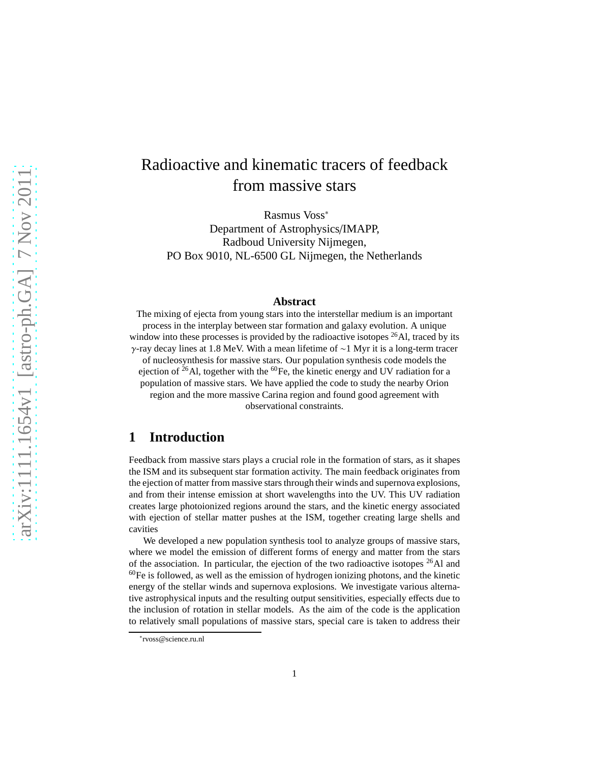# Radioactive and kinematic tracers of feedback from massive stars

Rasmus Voss<sup>∗</sup> Department of Astrophysics/IMAPP, Radboud University Nijmegen, PO Box 9010, NL-6500 GL Nijmegen, the Netherlands

#### **Abstract**

The mixing of ejecta from young stars into the interstellar medium is an important process in the interplay between star formation and galaxy evolution. A unique window into these processes is provided by the radioactive isotopes <sup>26</sup>Al, traced by its γ-ray decay lines at 1.8 MeV. With a mean lifetime of ∼1 Myr it is a long-term tracer of nucleosynthesis for massive stars. Our population synthesis code models the ejection of  $^{26}$ Al, together with the  $^{60}$ Fe, the kinetic energy and UV radiation for a population of massive stars. We have applied the code to study the nearby Orion region and the more massive Carina region and found good agreement with

### observational constraints.

#### **1 Introduction**

Feedback from massive stars plays a crucial role in the formation of stars, as it shapes the ISM and its subsequent star formation activity. The main feedback originates from the ejection of matter from massive stars through their winds and supernova explosions, and from their intense emission at short wavelengths into the UV. This UV radiation creates large photoionized regions around the stars, and the kinetic energy associated with ejection of stellar matter pushes at the ISM, together creating large shells and cavities

We developed a new population synthesis tool to analyze groups of massive stars, where we model the emission of different forms of energy and matter from the stars of the association. In particular, the ejection of the two radioactive isotopes  $^{26}$ Al and  $^{60}$ Fe is followed, as well as the emission of hydrogen ionizing photons, and the kinetic energy of the stellar winds and supernova explosions. We investigate various alternative astrophysical inputs and the resulting output sensitivities, especially effects due to the inclusion of rotation in stellar models. As the aim of the code is the application to relatively small populations of massive stars, special care is taken to address their

<sup>∗</sup> rvoss@science.ru.nl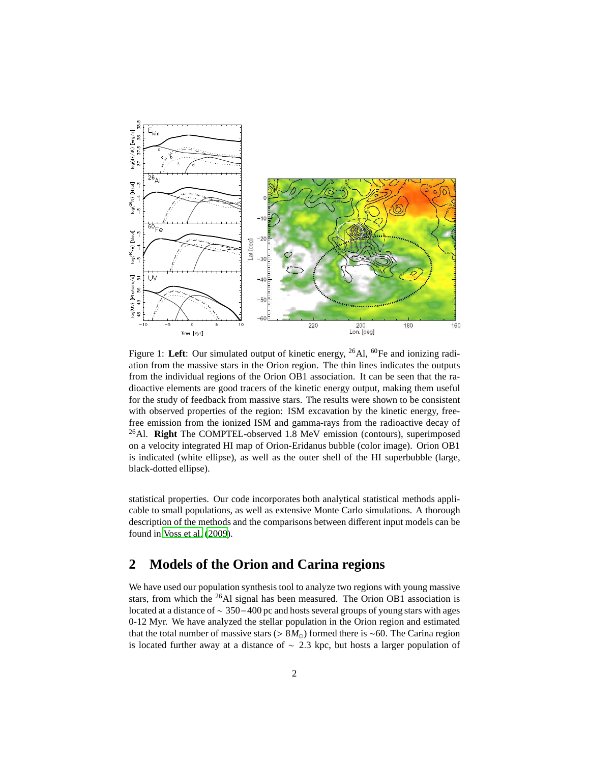

<span id="page-1-0"></span>Figure 1: Left: Our simulated output of kinetic energy, <sup>26</sup>Al, <sup>60</sup>Fe and ionizing radiation from the massive stars in the Orion region. The thin lines indicates the outputs from the individual regions of the Orion OB1 association. It can be seen that the radioactive elements are good tracers of the kinetic energy output, making them useful for the study of feedback from massive stars. The results were shown to be consistent with observed properties of the region: ISM excavation by the kinetic energy, freefree emission from the ionized ISM and gamma-rays from the radioactive decay of <sup>26</sup>Al. **Right** The COMPTEL-observed 1.8 MeV emission (contours), superimposed on a velocity integrated HI map of Orion-Eridanus bubble (color image). Orion OB1 is indicated (white ellipse), as well as the outer shell of the HI superbubble (large, black-dotted ellipse).

statistical properties. Our code incorporates both analytical statistical methods applicable to small populations, as well as extensive Monte Carlo simulations. A thorough description of the methods and the comparisons between different input models can be found in [Voss et al. \(2009\)](#page-2-0).

#### **2 Models of the Orion and Carina regions**

We have used our population synthesis tool to analyze two regions with young massive stars, from which the <sup>26</sup>Al signal has been measured. The Orion OB1 association is located at a distance of ∼ 350−400 pc and hosts several groups of young stars with ages 0-12 Myr. We have analyzed the stellar population in the Orion region and estimated that the total number of massive stars (> 8*M*⊙) formed there is ∼60. The Carina region is located further away at a distance of ∼ 2.3 kpc, but hosts a larger population of